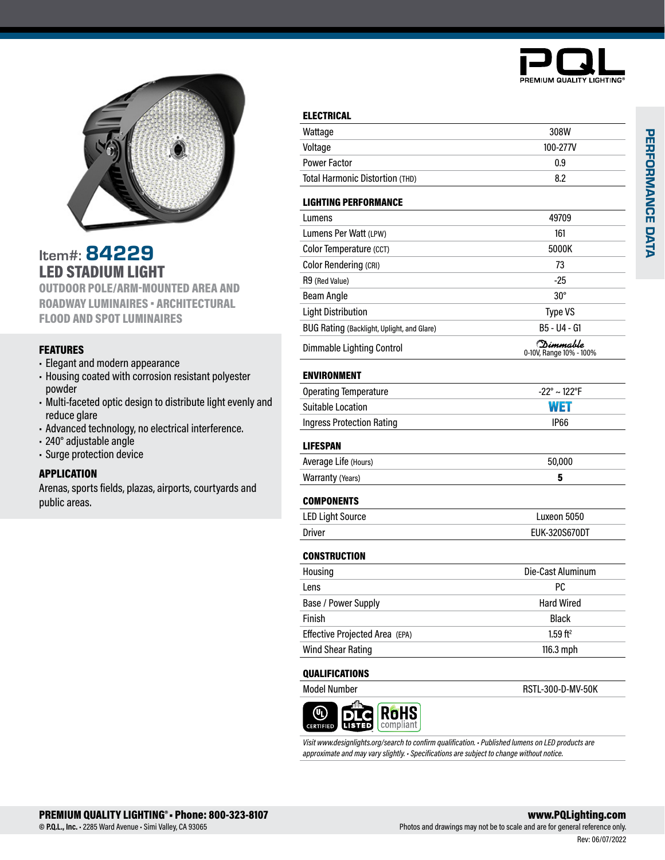



Item#: 84229 LED STADIUM LIGHT OUTDOOR POLE/ARM-MOUNTED AREA AND ROADWAY LUMINAIRES • ARCHITECTURAL

FLOOD AND SPOT LUMINAIRES

## FEATURES

- Elegant and modern appearance
- Housing coated with corrosion resistant polyester powder
- Multi-faceted optic design to distribute light evenly and reduce glare
- Advanced technology, no electrical interference.
- 240° adjustable angle
- Surge protection device

### APPLICATION

Arenas, sports fields, plazas, airports, courtyards and public areas.

| Wattage                                    | 308W                                 |
|--------------------------------------------|--------------------------------------|
| Voltage                                    | 100-277V                             |
| <b>Power Factor</b>                        | 0.9                                  |
| Total Harmonic Distortion (THD)            | 8.2                                  |
| <b>LIGHTING PERFORMANCE</b>                |                                      |
| Lumens                                     | 49709                                |
| Lumens Per Watt (LPW)                      | 161                                  |
| Color Temperature (CCT)                    | 5000K                                |
| Color Rendering (CRI)                      | 73                                   |
| R9 (Red Value)                             | -25                                  |
| <b>Beam Angle</b>                          | $30^\circ$                           |
| <b>Light Distribution</b>                  | <b>Type VS</b>                       |
| BUG Rating (Backlight, Uplight, and Glare) | B5 - U4 - G1                         |
| Dimmable Lighting Control                  | (Dimmable<br>0-10V, Range 10% - 100% |
| <b>ENVIRONMENT</b>                         |                                      |
| <b>Operating Temperature</b>               | $-22^{\circ} \sim 122^{\circ}F$      |
| <b>Suitable Location</b>                   | WET                                  |
| <b>Ingress Protection Rating</b>           | IP66                                 |
| <b>LIFESPAN</b>                            |                                      |
| Average Life (Hours)                       | 50,000                               |
| Warranty (Years)                           | 5                                    |
| <b>COMPONENTS</b>                          |                                      |
| <b>LED Light Source</b>                    | Luxeon 5050                          |
| <b>Driver</b>                              | <b>EUK-320S670DT</b>                 |
| <b>CONSTRUCTION</b>                        |                                      |
| Housing                                    | Die-Cast Aluminum                    |
| l ens                                      | РC                                   |
| Base / Power Supply                        | <b>Hard Wired</b>                    |
| Finish                                     | <b>Black</b>                         |
| Effective Projected Area (EPA)             | $1.59$ ft <sup>2</sup>               |
| <b>Wind Shear Rating</b>                   | 116.3 mph                            |
| <b>QUALIFICATIONS</b>                      |                                      |
| <b>Model Number</b>                        | RSTL-300-D-MV-50K                    |



*Visit www.designlights.org/search to confirm qualification. • Published lumens on LED products are approximate and may vary slightly. • Specifications are subject to change without notice.*